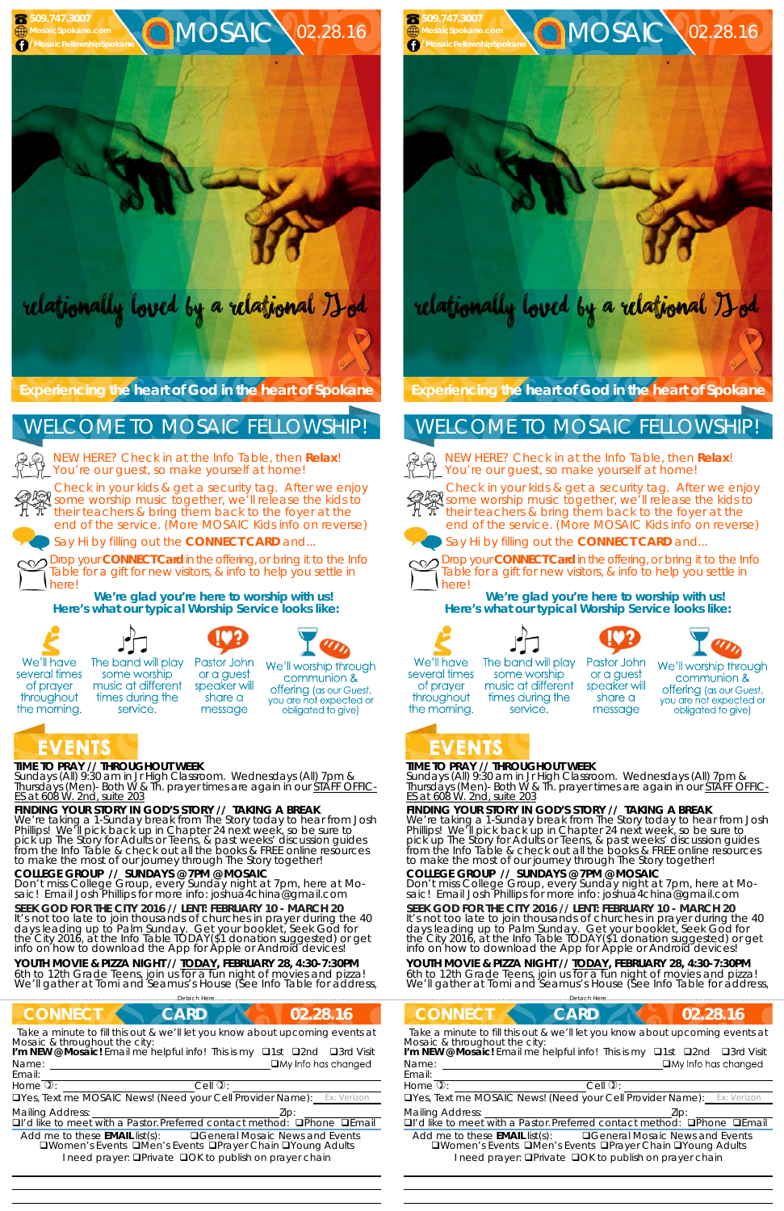### **TIME TO PRAY // THROUGHOUT WEEK**

*Sundays* (All) 9:30 am in Jr High Classroom. *Wednesdays* (All) 7pm & *Thursdays* (Men)- Both W & Th. prayer times are again in our *STAFF OFFIC-ES at 608 W. 2nd, suite 203*

### **FINDING YOUR STORY IN GOD'S STORY // TAKING A BREAK**

**SEEK GOD FOR THE CITY 2016 // LENT: FEBRUARY 10 - MARCH 20**  It's not too late to join thousands of churches in prayer during the 40 days leading up to Palm Sunday. Get your booklet, *Seek God for the City 2016,* at the Info Table TODAY(\$1 donation suggested) or get<br>info on how to download the App for Apple or Android devices!

We're taking a 1-Sunday break from The Story today to hear from Josh Phillips! We'll pick back up in Chapter 24 next week, so be sure to pick up The Story for Adults or Teens, & past weeks' discussion guides from the Info Table & check out all the books & FREE online resources to make the most of our journey through The Story together!

**YOUTH MOVIE & PIZZA NIGHT //** *TODAY***, FEBRUARY 28, 4:30-7:30PM**  6th to 12th Grade Teens, join us for a fun night of movies and pizza! We'll gather at Tomi and Seamus's House (See Info Table for address,

### **COLLEGE GROUP // SUNDAYS @ 7PM @ MOSAIC**

Don't miss College Group, every Sunday night at 7pm, here at Mo- saic! Email Josh Phillips for more info: joshua4china@gmail.com

NEW HERE? Check in at the Info Table, then **Relax**! You're our guest, so make yourself at home!

**Experiencing the heart of God in the heart of Spokane** 

Check in your kids & get a security tag. After we enjoy Streck in your kids a get a security tag. After we enjoy<br>Some worship music together, we'll release the kids to  $\pi$  their teachers & bring them back to the foyer at the end of the service. (More MOSAIC Kids info on reverse)

> **SEEK GOD FOR THE CITY 2016 // LENT: FEBRUARY 10 - MARCH 20**  It's not too late to join thousands of churches in prayer during the 40 days leading up to Palm Sunday. Get your booklet, *Seek God for the City 2016,* at the Info Table TODAY(\$1 donation suggested) or get<br>info on how to download the App for Apple or Android devices!



# relationally loved by a relational Hod

Say Hi by filling out the **CONNECT CARD** and...

Drop your **CONNECT Card** in the offering, or bring it to the Info Table for a gift for new visitors, & info to help you settle in here!

> **YOUTH MOVIE & PIZZA NIGHT //** *TODAY***, FEBRUARY 28, 4:30-7:30PM**  6th to 12th Grade Teens, join us for a fun night of movies and pizza! We'll gather at Tomi and Seamus's House (See Info Table for address,

**We're glad you're here to worship with us! Here's what our typical Worship Service looks like:** 



## WELCOME TO MOSAIC FELLOWSHIP!

Drop your **CONNECT Card** in the offering, or bring it to the Info Table for a gift for new visitors, & info to help you settle in here!

 





share a

message







The band will play several times of prayer throughout the morning.

some worship music at different speaker will times during the service.

We'll worship through communion & **offering** (as our Guest, you are not expected or obligated to give)

## EVENTS

### **TIME TO PRAY // THROUGHOUT WEEK**

*Sundays* (All) 9:30 am in Jr High Classroom. *Wednesdays* (All) 7pm & *Thursdays* (Men)- Both W & Th. prayer times are again in our *STAFF OFFIC-ES at 608 W. 2nd, suite 203*

### **FINDING YOUR STORY IN GOD'S STORY // TAKING A BREAK**

We're taking a 1-Sunday break from The Story today to hear from Josh Phillips! We'll pick back up in Chapter 24 next week, so be sure to pick up The Story for Adults or Teens, & past weeks' discussion guides from the Info Table & check out all the books & FREE online resources to make the most of our journey through The Story together!

## **COLLEGE GROUP // SUNDAYS @ 7PM @ MOSAIC**

| Detach Hei                                                                                                                                                                                                                                                                                                                            |                                                                                                                                                                                                                                                                                                                                     |  |
|---------------------------------------------------------------------------------------------------------------------------------------------------------------------------------------------------------------------------------------------------------------------------------------------------------------------------------------|-------------------------------------------------------------------------------------------------------------------------------------------------------------------------------------------------------------------------------------------------------------------------------------------------------------------------------------|--|
| <b>CONNECT</b><br>02.28.16<br><b>CARD</b>                                                                                                                                                                                                                                                                                             | <b>CONNECT</b><br><b>CARD</b><br>02.28.16                                                                                                                                                                                                                                                                                           |  |
| Take a minute to fill this out & we'll let you know about upcoming events at<br>Mosaic & throughout the city:<br>I'm NEW @ Mosaic! Email me helpful info! This is my <b>Q1st</b> Q2nd<br>□3rd Visit<br>$\Box$ My Info has changed<br>Name:<br>Email:<br>Home $\overline{v}$ :<br>$Cell$ $\mathcal{D}$ :                               | Take a minute to fill this out & we'll let you know about upcoming events at<br>Mosaic & throughout the city:<br>I'm NEW @ Mosaic! Email me helpful info! This is my <b>Q1st</b> Q2nd<br>□3rd Visit<br>$\Box$ My Info has changed<br>Name:<br>Email:<br>Home $\overline{v}$ :<br>$Cell$ $\mathcal{D}$ :                             |  |
| <b>OYes, Text me MOSAIC News! (Need your Cell Provider Name):</b> Ex: Verizon                                                                                                                                                                                                                                                         | <b>OYes, Text me MOSAIC News! (Need your Cell Provider Name):</b> Ex: Verizon                                                                                                                                                                                                                                                       |  |
| <b>Mailing Address:</b><br>DI'd like to meet with a Pastor. Preferred contact method:<br><b>OPhone OEmail</b><br>Add me to these <b>EMAIL</b> list(s):<br><b>QGeneral Mosaic News and Events</b><br><b>QWomen's Events QMen's Events QPrayer Chain QYoung Adults</b><br>I need prayer: <b>QPrivate QOK to publish on prayer chain</b> | <b>Mailing Address:</b><br>DI'd like to meet with a Pastor. Preferred contact method:<br>$\Box$ Phone<br>$DF$ mail<br>Add me to these <b>EMAIL</b> list(s):<br><b>QGeneral Mosaic News and Events</b><br>□Women's Events □Men's Events □Prayer Chain □Young Adults<br>I need prayer: <b>QPrivate QOK to publish on prayer chain</b> |  |

Don't miss College Group, every Sunday night at 7pm, here at Mo- saic! Email Josh Phillips for more info: joshua4china@gmail.com

**Experiencing the heart of God in the heart of Spokane** 

NEW HERE? Check in at the Info Table, then **Relax**! You're our guest, so make yourself at home!



Check in your kids & get a security tag. After we enjoy some worship music together, we'll release the kids to their teachers & bring them back to the foyer at the end of the service. (More MOSAIC Kids info on reverse)







Say Hi by filling out the **CONNECT CARD** and...



**We're glad you're here to worship with us! Here's what our typical Worship Service looks like:** 



several times

of prayer

throughout



some worship

music at different

times during the

service.





Pastor John We'll worship through or a guest communion & speaker will **offering** (as our Guest, share a you are not expected or message obligated to give)

## the morning. VENTS

## WELCOME TO MOSAIC FELLOWSHIP!